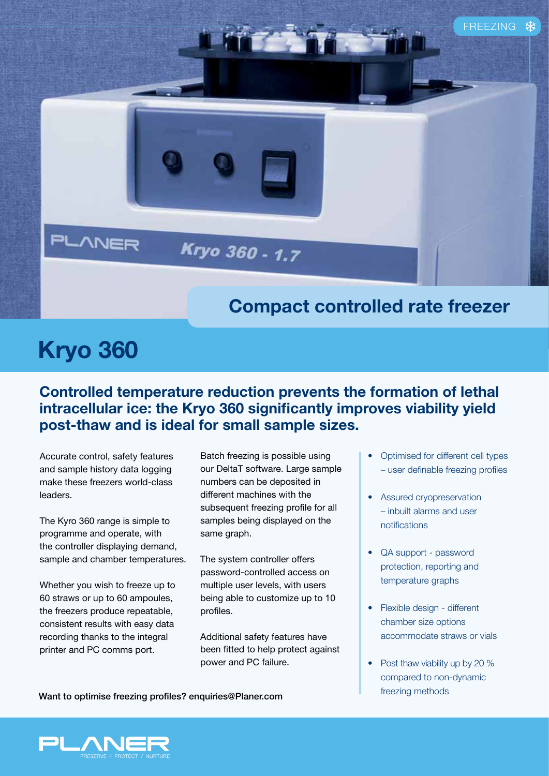

## **Kryo 360**

## **Controlled temperature reduction prevents the formation of lethal intracellular ice: the Kryo 360 significantly improves viability yield post-thaw and is ideal for small sample sizes.**

Accurate control, safety features and sample history data logging make these freezers world-class **leaders** 

The Kyro 360 range is simple to programme and operate, with the controller displaying demand, sample and chamber temperatures.

Whether you wish to freeze up to 60 straws or up to 60 ampoules, the freezers produce repeatable, consistent results with easy data recording thanks to the integral printer and PC comms port.

Batch freezing is possible using our DeltaT software. Large sample numbers can be deposited in different machines with the subsequent freezing profile for all samples being displayed on the same graph.

The system controller offers password-controlled access on multiple user levels, with users being able to customize up to 10 profiles.

Additional safety features have been fitted to help protect against power and PC failure.

- Optimised for different cell types - user definable freezing profiles
- Assured cryopreservation - inbuilt alarms and user notifications
- QA support password protection, reporting and temperature graphs
- Flexible design different chamber size options accommodate straws or vials
- Post thaw viability up by 20  $%$ compared to non-dynamic

**FREEZING Mant to optimise freezing profiles? enquiries@Planer.com**